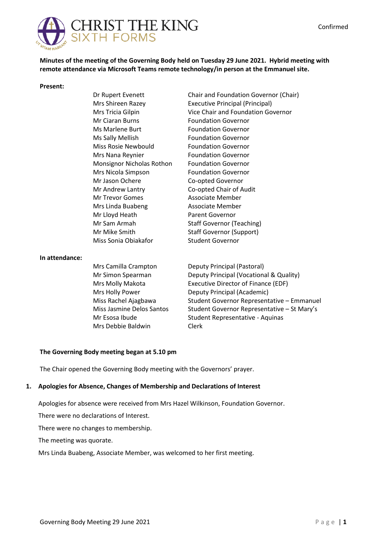

**Minutes of the meeting of the Governing Body held on Tuesday 29 June 2021. Hybrid meeting with remote attendance via Microsoft Teams remote technology/in person at the Emmanuel site.**

Chair and Foundation Governor (Chair)

Vice Chair and Foundation Governor

Executive Principal (Principal)

Foundation Governor Foundation Governor Foundation Governor Foundation Governor Foundation Governor Foundation Governor Foundation Governor Co-opted Governor Co-opted Chair of Audit Associate Member Associate Member Parent Governor

Staff Governor (Teaching) Staff Governor (Support) Student Governor

#### **Present:**

Dr Rupert Evenett Mrs Shireen Razey Mrs Tricia Gilpin Mr Ciaran Burns Ms Marlene Burt Ms Sally Mellish Miss Rosie Newbould Mrs Nana Reynier Monsignor Nicholas Rothon Mrs Nicola Simpson Mr Jason Ochere Mr Andrew Lantry Mr Trevor Gomes Mrs Linda Buabeng Mr Lloyd Heath Mr Sam Armah Mr Mike Smith Miss Sonia Obiakafor

#### **In attendance:**

Mrs Camilla Crampton Mr Simon Spearman Mrs Molly Makota Mrs Holly Power Miss Rachel Ajagbawa Miss Jasmine Delos Santos Mr Esosa Ibude Mrs Debbie Baldwin Deputy Principal (Pastoral) Deputy Principal (Vocational & Quality) Executive Director of Finance (EDF) Deputy Principal (Academic) Student Governor Representative – Emmanuel Student Governor Representative – St Mary's Student Representative - Aquinas Clerk

#### **The Governing Body meeting began at 5.10 pm**

The Chair opened the Governing Body meeting with the Governors' prayer.

### **1. Apologies for Absence, Changes of Membership and Declarations of Interest**

Apologies for absence were received from Mrs Hazel Wilkinson, Foundation Governor.

There were no declarations of Interest.

There were no changes to membership.

The meeting was quorate.

Mrs Linda Buabeng, Associate Member, was welcomed to her first meeting.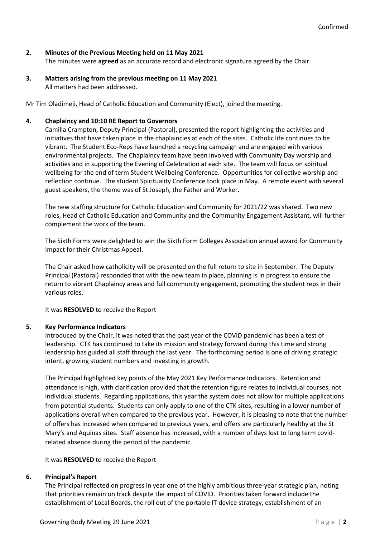## **2. Minutes of the Previous Meeting held on 11 May 2021**

The minutes were **agreed** as an accurate record and electronic signature agreed by the Chair.

**3. Matters arising from the previous meeting on 11 May 2021** All matters had been addressed.

Mr Tim Oladimeji, Head of Catholic Education and Community (Elect), joined the meeting.

### **4. Chaplaincy and 10:10 RE Report to Governors**

Camilla Crampton, Deputy Principal (Pastoral), presented the report highlighting the activities and initiatives that have taken place in the chaplaincies at each of the sites. Catholic life continues to be vibrant. The Student Eco-Reps have launched a recycling campaign and are engaged with various environmental projects. The Chaplaincy team have been involved with Community Day worship and activities and in supporting the Evening of Celebration at each site. The team will focus on spiritual wellbeing for the end of term Student Wellbeing Conference. Opportunities for collective worship and reflection continue. The student Spirituality Conference took place in May. A remote event with several guest speakers, the theme was of St Joseph, the Father and Worker.

The new staffing structure for Catholic Education and Community for 2021/22 was shared. Two new roles, Head of Catholic Education and Community and the Community Engagement Assistant, will further complement the work of the team.

The Sixth Forms were delighted to win the Sixth Form Colleges Association annual award for Community Impact for their Christmas Appeal.

The Chair asked how catholicity will be presented on the full return to site in September. The Deputy Principal (Pastoral) responded that with the new team in place, planning is in progress to ensure the return to vibrant Chaplaincy areas and full community engagement, promoting the student reps in their various roles.

It was **RESOLVED** to receive the Report

## **5. Key Performance Indicators**

Introduced by the Chair, it was noted that the past year of the COVID pandemic has been a test of leadership. CTK has continued to take its mission and strategy forward during this time and strong leadership has guided all staff through the last year. The forthcoming period is one of driving strategic intent, growing student numbers and investing in growth.

The Principal highlighted key points of the May 2021 Key Performance Indicators. Retention and attendance is high, with clarification provided that the retention figure relates to individual courses, not individual students. Regarding applications, this year the system does not allow for multiple applications from potential students. Students can only apply to one of the CTK sites, resulting in a lower number of applications overall when compared to the previous year. However, it is pleasing to note that the number of offers has increased when compared to previous years, and offers are particularly healthy at the St Mary's and Aquinas sites. Staff absence has increased, with a number of days lost to long term covidrelated absence during the period of the pandemic.

It was **RESOLVED** to receive the Report

### **6. Principal's Report**

The Principal reflected on progress in year one of the highly ambitious three-year strategic plan, noting that priorities remain on track despite the impact of COVID. Priorities taken forward include the establishment of Local Boards, the roll out of the portable IT device strategy, establishment of an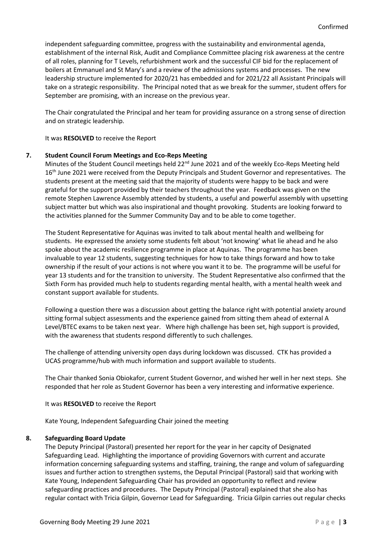independent safeguarding committee, progress with the sustainability and environmental agenda, establishment of the internal Risk, Audit and Compliance Committee placing risk awareness at the centre of all roles, planning for T Levels, refurbishment work and the successful CIF bid for the replacement of boilers at Emmanuel and St Mary's and a review of the admissions systems and processes. The new leadership structure implemented for 2020/21 has embedded and for 2021/22 all Assistant Principals will take on a strategic responsibility. The Principal noted that as we break for the summer, student offers for September are promising, with an increase on the previous year.

The Chair congratulated the Principal and her team for providing assurance on a strong sense of direction and on strategic leadership.

It was **RESOLVED** to receive the Report

### **7. Student Council Forum Meetings and Eco-Reps Meeting**

Minutes of the Student Council meetings held 22<sup>nd</sup> June 2021 and of the weekly Eco-Reps Meeting held 16<sup>th</sup> June 2021 were received from the Deputy Principals and Student Governor and representatives. The students present at the meeting said that the majority of students were happy to be back and were grateful for the support provided by their teachers throughout the year. Feedback was given on the remote Stephen Lawrence Assembly attended by students, a useful and powerful assembly with upsetting subject matter but which was also inspirational and thought provoking. Students are looking forward to the activities planned for the Summer Community Day and to be able to come together.

The Student Representative for Aquinas was invited to talk about mental health and wellbeing for students. He expressed the anxiety some students felt about 'not knowing' what lie ahead and he also spoke about the academic resilience programme in place at Aquinas. The programme has been invaluable to year 12 students, suggesting techniques for how to take things forward and how to take ownership if the result of your actions is not where you want it to be. The programme will be useful for year 13 students and for the transition to university. The Student Representative also confirmed that the Sixth Form has provided much help to students regarding mental health, with a mental health week and constant support available for students.

Following a question there was a discussion about getting the balance right with potential anxiety around sitting formal subject assessments and the experience gained from sitting them ahead of external A Level/BTEC exams to be taken next year. Where high challenge has been set, high support is provided, with the awareness that students respond differently to such challenges.

The challenge of attending university open days during lockdown was discussed. CTK has provided a UCAS programme/hub with much information and support available to students.

The Chair thanked Sonia Obiokafor, current Student Governor, and wished her well in her next steps. She responded that her role as Student Governor has been a very interesting and informative experience.

It was **RESOLVED** to receive the Report

Kate Young, Independent Safeguarding Chair joined the meeting

### **8. Safeguarding Board Update**

The Deputy Principal (Pastoral) presented her report for the year in her capcity of Designated Safeguarding Lead. Highlighting the importance of providing Governors with current and accurate information concerning safeguarding systems and staffing, training, the range and volum of safeguarding issues and further action to strengthen systems, the Deputal Principal (Pastoral) said that working with Kate Young, Independent Safeguarding Chair has provided an opportunity to reflect and review safeguarding practices and procedures. The Deputy Principal (Pastoral) explained that she also has regular contact with Tricia Gilpin, Governor Lead for Safeguarding. Tricia Gilpin carries out regular checks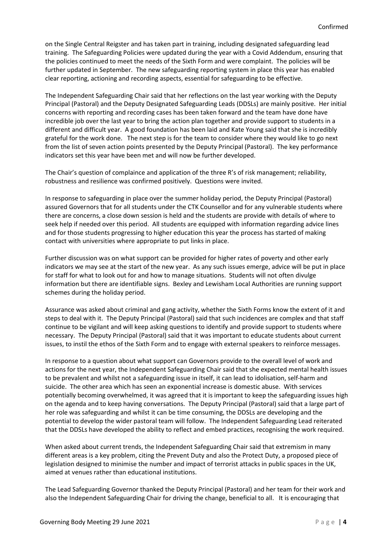on the Single Central Reigster and has taken part in training, including designated safeguarding lead training. The Safeguarding Policies were updated during the year with a Covid Addendum, ensuring that the policies continued to meet the needs of the Sixth Form and were complaint. The policies will be further updated in September. The new safeguarding reporting system in place this year has enabled clear reporting, actioning and recording aspects, essential for safeguarding to be effective.

The Independent Safeguarding Chair said that her reflections on the last year working with the Deputy Principal (Pastoral) and the Deputy Designated Safeguarding Leads (DDSLs) are mainly positive. Her initial concerns with reporting and recording cases has been taken forward and the team have done have incredible job over the last year to bring the action plan together and provide support to students in a different and difficult year. A good foundation has been laid and Kate Young said that she is incredibly grateful for the work done. The next step is for the team to consider where they would like to go next from the list of seven action points presented by the Deputy Principal (Pastoral). The key performance indicators set this year have been met and will now be further developed.

The Chair's question of complaince and application of the three R's of risk management; reliability, robustness and resilience was confirmed positively. Questions were invited.

In response to safeguarding in place over the summer holiday period, the Deputy Principal (Pastoral) assured Governors that for all students under the CTK Counsellor and for any vulnerable students where there are concerns, a close down session is held and the students are provide with details of where to seek help if needed over this period. All students are equipped with information regarding advice lines and for those students progressing to higher education this year the process has started of making contact with universities where appropriate to put links in place.

Further discussion was on what support can be provided for higher rates of poverty and other early indicators we may see at the start of the new year. As any such issues emerge, advice will be put in place for staff for what to look out for and how to manage situations. Students will not often divulge information but there are identifiable signs. Bexley and Lewisham Local Authorities are running support schemes during the holiday period.

Assurance was asked about criminal and gang activity, whether the Sixth Forms know the extent of it and steps to deal with it. The Deputy Principal (Pastoral) said that such incidences are complex and that staff continue to be vigilant and will keep asking questions to identify and provide support to students where necessary. The Deputy Principal (Pastoral) said that it was important to educate students about current issues, to instil the ethos of the Sixth Form and to engage with external speakers to reinforce messages.

In response to a question about what support can Governors provide to the overall level of work and actions for the next year, the Independent Safeguarding Chair said that she expected mental health issues to be prevalent and whilst not a safeguarding issue in itself, it can lead to idolisation, self-harm and suicide. The other area which has seen an exponential increase is domestic abuse. With services potentially becoming overwhelmed, it was agreed that it is important to keep the safeguarding issues high on the agenda and to keep having conversations. The Deputy Principal (Pastoral) said that a large part of her role was safeguarding and whilst it can be time consuming, the DDSLs are developing and the potential to develop the wider pastoral team will follow. The Independent Safeguarding Lead reiterated that the DDSLs have developed the ability to reflect and embed practices, recognising the work required.

When asked about current trends, the Independent Safeguarding Chair said that extremism in many different areas is a key problem, citing the Prevent Duty and also the Protect Duty, a proposed piece of legislation designed to minimise the number and impact of terrorist attacks in public spaces in the UK, aimed at venues rather than educational institutions.

The Lead Safeguarding Governor thanked the Deputy Principal (Pastoral) and her team for their work and also the Independent Safeguarding Chair for driving the change, beneficial to all. It is encouraging that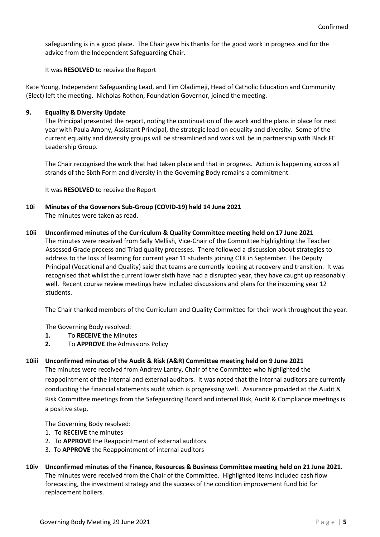safeguarding is in a good place. The Chair gave his thanks for the good work in progress and for the advice from the Independent Safeguarding Chair.

It was **RESOLVED** to receive the Report

Kate Young, Independent Safeguarding Lead, and Tim Oladimeji, Head of Catholic Education and Community (Elect) left the meeting. Nicholas Rothon, Foundation Governor, joined the meeting.

## **9. Equality & Diversity Update**

The Principal presented the report, noting the continuation of the work and the plans in place for next year with Paula Amony, Assistant Principal, the strategic lead on equality and diversity. Some of the current equality and diversity groups will be streamlined and work will be in partnership with Black FE Leadership Group.

The Chair recognised the work that had taken place and that in progress. Action is happening across all strands of the Sixth Form and diversity in the Governing Body remains a commitment.

It was **RESOLVED** to receive the Report

- **10i Minutes of the Governors Sub-Group (COVID-19) held 14 June 2021** The minutes were taken as read.
- **10ii Unconfirmed minutes of the Curriculum & Quality Committee meeting held on 17 June 2021**

The minutes were received from Sally Mellish, Vice-Chair of the Committee highlighting the Teacher Assessed Grade process and Triad quality processes. There followed a discussion about strategies to address to the loss of learning for current year 11 students joining CTK in September. The Deputy Principal (Vocational and Quality) said that teams are currently looking at recovery and transition. It was recognised that whilst the current lower sixth have had a disrupted year, they have caught up reasonably well. Recent course review meetings have included discussions and plans for the incoming year 12 students.

The Chair thanked members of the Curriculum and Quality Committee for their work throughout the year.

The Governing Body resolved:

- **1.** To **RECEIVE** the Minutes
- **2.** To **APPROVE** the Admissions Policy

### **10iii Unconfirmed minutes of the Audit & Risk (A&R) Committee meeting held on 9 June 2021**

The minutes were received from Andrew Lantry, Chair of the Committee who highlighted the reappointment of the internal and external auditors. It was noted that the internal auditors are currently conduciting the financial statements audit which is progressing well. Assurance provided at the Audit & Risk Committee meetings from the Safeguarding Board and internal Risk, Audit & Compliance meetings is a positive step.

The Governing Body resolved:

- 1. To **RECEIVE** the minutes
- 2. To **APPROVE** the Reappointment of external auditors
- 3. To **APPROVE** the Reappointment of internal auditors
- **10iv Unconfirmed minutes of the Finance, Resources & Business Committee meeting held on 21 June 2021.** The minutes were received from the Chair of the Committee. Highlighted items included cash flow forecasting, the investment strategy and the success of the condition improvement fund bid for replacement boilers.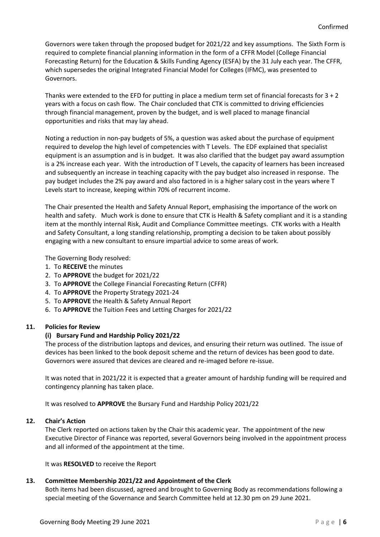Governors were taken through the proposed budget for 2021/22 and key assumptions. The Sixth Form is required to complete financial planning information in the form of a CFFR Model (College Financial Forecasting Return) for the Education & Skills Funding Agency (ESFA) by the 31 July each year. The CFFR, which supersedes the original Integrated Financial Model for Colleges (IFMC), was presented to Governors.

Thanks were extended to the EFD for putting in place a medium term set of financial forecasts for 3 + 2 years with a focus on cash flow. The Chair concluded that CTK is committed to driving efficiencies through financial management, proven by the budget, and is well placed to manage financial opportunities and risks that may lay ahead.

Noting a reduction in non-pay budgets of 5%, a question was asked about the purchase of equipment required to develop the high level of competencies with T Levels. The EDF explained that specialist equipment is an assumption and is in budget. It was also clarified that the budget pay award assumption is a 2% increase each year. With the introduction of T Levels, the capacity of learners has been increased and subsequently an increase in teaching capacity with the pay budget also increased in response. The pay budget includes the 2% pay award and also factored in is a higher salary cost in the years where T Levels start to increase, keeping within 70% of recurrent income.

The Chair presented the Health and Safety Annual Report, emphasising the importance of the work on health and safety. Much work is done to ensure that CTK is Health & Safety compliant and it is a standing item at the monthly internal Risk, Audit and Compliance Committee meetings. CTK works with a Health and Safety Consultant, a long standing relationship, prompting a decision to be taken about possibly engaging with a new consultant to ensure impartial advice to some areas of work.

The Governing Body resolved:

- 1. To **RECEIVE** the minutes
- 2. To **APPROVE** the budget for 2021/22
- 3. To **APPROVE** the College Financial Forecasting Return (CFFR)
- 4. To **APPROVE** the Property Strategy 2021-24
- 5. To **APPROVE** the Health & Safety Annual Report
- 6. To **APPROVE** the Tuition Fees and Letting Charges for 2021/22

### **11. Policies for Review**

### **(i) Bursary Fund and Hardship Policy 2021/22**

The process of the distribution laptops and devices, and ensuring their return was outlined. The issue of devices has been linked to the book deposit scheme and the return of devices has been good to date. Governors were assured that devices are cleared and re-imaged before re-issue.

It was noted that in 2021/22 it is expected that a greater amount of hardship funding will be required and contingency planning has taken place.

It was resolved to **APPROVE** the Bursary Fund and Hardship Policy 2021/22

### **12. Chair's Action**

The Clerk reported on actions taken by the Chair this academic year. The appointment of the new Executive Director of Finance was reported, several Governors being involved in the appointment process and all informed of the appointment at the time.

It was **RESOLVED** to receive the Report

# **13. Committee Membership 2021/22 and Appointment of the Clerk**

Both items had been discussed, agreed and brought to Governing Body as recommendations following a special meeting of the Governance and Search Committee held at 12.30 pm on 29 June 2021.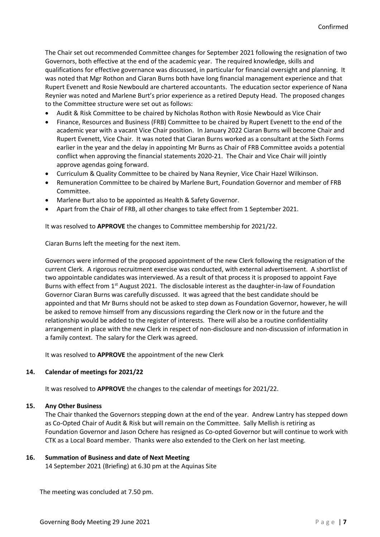The Chair set out recommended Committee changes for September 2021 following the resignation of two Governors, both effective at the end of the academic year. The required knowledge, skills and qualifications for effective governance was discussed, in particular for financial oversight and planning. It was noted that Mgr Rothon and Ciaran Burns both have long financial management experience and that Rupert Evenett and Rosie Newbould are chartered accountants. The education sector experience of Nana Reynier was noted and Marlene Burt's prior experience as a retired Deputy Head. The proposed changes to the Committee structure were set out as follows:

- Audit & Risk Committee to be chaired by Nicholas Rothon with Rosie Newbould as Vice Chair
- Finance, Resources and Business (FRB) Committee to be chaired by Rupert Evenett to the end of the academic year with a vacant Vice Chair position. In January 2022 Ciaran Burns will become Chair and Rupert Evenett, Vice Chair. It was noted that Ciaran Burns worked as a consultant at the Sixth Forms earlier in the year and the delay in appointing Mr Burns as Chair of FRB Committee avoids a potential conflict when approving the financial statements 2020-21. The Chair and Vice Chair will jointly approve agendas going forward.
- Curriculum & Quality Committee to be chaired by Nana Reynier, Vice Chair Hazel Wilkinson.
- Remuneration Committee to be chaired by Marlene Burt, Foundation Governor and member of FRB Committee.
- Marlene Burt also to be appointed as Health & Safety Governor.
- Apart from the Chair of FRB, all other changes to take effect from 1 September 2021.

It was resolved to **APPROVE** the changes to Committee membership for 2021/22.

Ciaran Burns left the meeting for the next item.

Governors were informed of the proposed appointment of the new Clerk following the resignation of the current Clerk. A rigorous recruitment exercise was conducted, with external advertisement. A shortlist of two appointable candidates was interviewed. As a result of that process it is proposed to appoint Faye Burns with effect from  $1<sup>st</sup>$  August 2021. The disclosable interest as the daughter-in-law of Foundation Governor Ciaran Burns was carefully discussed. It was agreed that the best candidate should be appointed and that Mr Burns should not be asked to step down as Foundation Governor, however, he will be asked to remove himself from any discussions regarding the Clerk now or in the future and the relationship would be added to the register of interests. There will also be a routine confidentiality arrangement in place with the new Clerk in respect of non-disclosure and non-discussion of information in a family context. The salary for the Clerk was agreed.

It was resolved to **APPROVE** the appointment of the new Clerk

### **14. Calendar of meetings for 2021/22**

It was resolved to **APPROVE** the changes to the calendar of meetings for 2021/22.

### **15. Any Other Business**

The Chair thanked the Governors stepping down at the end of the year. Andrew Lantry has stepped down as Co-Opted Chair of Audit & Risk but will remain on the Committee. Sally Mellish is retiring as Foundation Governor and Jason Ochere has resigned as Co-opted Governor but will continue to work with CTK as a Local Board member. Thanks were also extended to the Clerk on her last meeting.

# **16. Summation of Business and date of Next Meeting**

14 September 2021 (Briefing) at 6.30 pm at the Aquinas Site

The meeting was concluded at 7.50 pm.